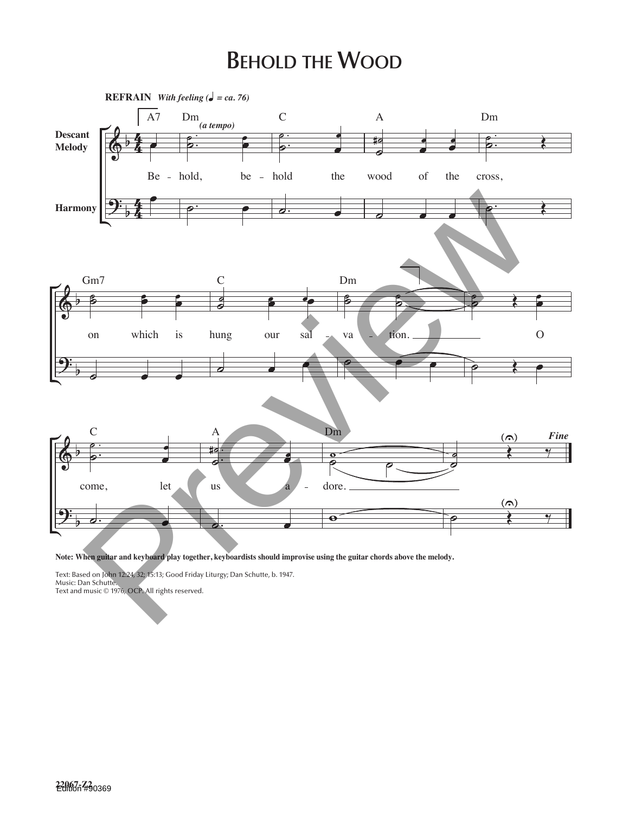## **BEHOLD THE WOOD**



Note: When guitar and keyboard play together, keyboardists should improvise using the guitar chords above the melody.

Text: Based on John 12:24, 32; 15:13; Good Friday Liturgy; Dan Schutte, b. 1947. Music: Dan Schutte. Text and music © 1976, OCP. All rights reserved.

**22067-Z2** Edition #90369